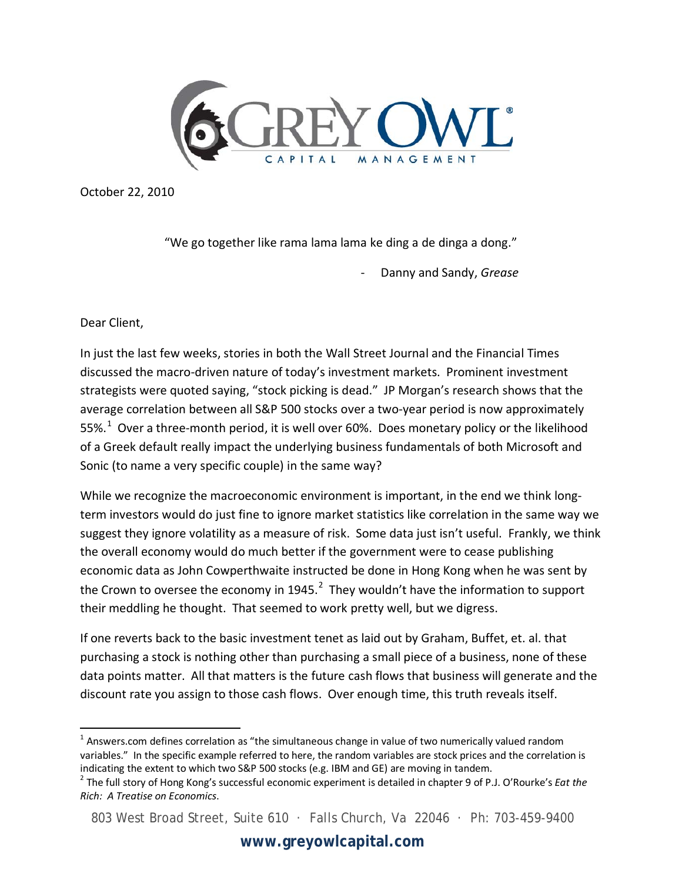

October 22, 2010

"We go together like rama lama lama ke ding a de dinga a dong."

- Danny and Sandy, *Grease*

Dear Client,

In just the last few weeks, stories in both the Wall Street Journal and the Financial Times discussed the macro-driven nature of today's investment markets. Prominent investment strategists were quoted saying, "stock picking is dead." JP Morgan's research shows that the average correlation between all S&P 500 stocks over a two-year period is now approximately 55%.<sup>[1](#page-0-0)</sup> Over a three-month period, it is well over 60%. Does monetary policy or the likelihood of a Greek default really impact the underlying business fundamentals of both Microsoft and Sonic (to name a very specific couple) in the same way?

While we recognize the macroeconomic environment is important, in the end we think longterm investors would do just fine to ignore market statistics like correlation in the same way we suggest they ignore volatility as a measure of risk. Some data just isn't useful. Frankly, we think the overall economy would do much better if the government were to cease publishing economic data as John Cowperthwaite instructed be done in Hong Kong when he was sent by the Crown to oversee the economy in 1945. $^2$  $^2$  They wouldn't have the information to support their meddling he thought. That seemed to work pretty well, but we digress.

If one reverts back to the basic investment tenet as laid out by Graham, Buffet, et. al. that purchasing a stock is nothing other than purchasing a small piece of a business, none of these data points matter. All that matters is the future cash flows that business will generate and the discount rate you assign to those cash flows. Over enough time, this truth reveals itself.

<span id="page-0-0"></span> $1$  Answers.com defines correlation as "the simultaneous change in value of two numerically valued random variables." In the specific example referred to here, the random variables are stock prices and the correlation is indicating the extent to which two S&P 500 stocks (e.g. IBM and GE) are moving in tandem.

<span id="page-0-1"></span><sup>2</sup> The full story of Hong Kong's successful economic experiment is detailed in chapter 9 of P.J. O'Rourke's *Eat the Rich: A Treatise on Economics*.

<sup>803</sup> West Broad Street, Suite 610 · Falls Church, Va 22046 · Ph: 703-459-9400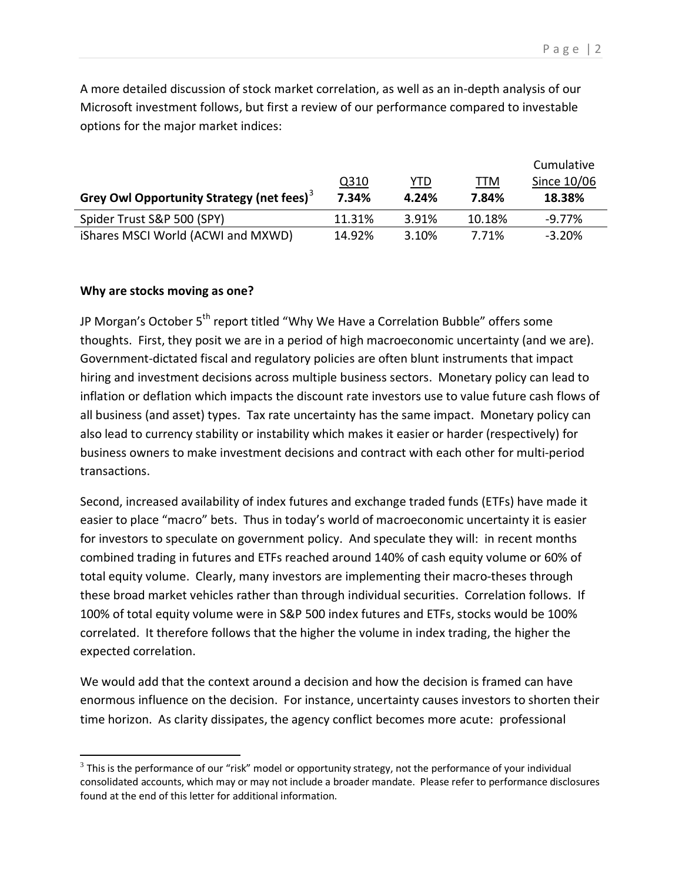A more detailed discussion of stock market correlation, as well as an in-depth analysis of our Microsoft investment follows, but first a review of our performance compared to investable options for the major market indices:

|                                                             |        |            |        | Cumulative  |
|-------------------------------------------------------------|--------|------------|--------|-------------|
|                                                             | Q310   | <u>YTD</u> | TTM    | Since 10/06 |
| <b>Grey Owl Opportunity Strategy (net fees)<sup>3</sup></b> | 7.34%  | 4.24%      | 7.84%  | 18.38%      |
| Spider Trust S&P 500 (SPY)                                  | 11.31% | 3.91%      | 10.18% | $-9.77\%$   |
| iShares MSCI World (ACWI and MXWD)                          | 14.92% | 3.10%      | 7.71%  | $-3.20\%$   |

## **Why are stocks moving as one?**

 $\overline{\phantom{a}}$ 

JP Morgan's October  $5<sup>th</sup>$  report titled "Why We Have a Correlation Bubble" offers some thoughts. First, they posit we are in a period of high macroeconomic uncertainty (and we are). Government-dictated fiscal and regulatory policies are often blunt instruments that impact hiring and investment decisions across multiple business sectors. Monetary policy can lead to inflation or deflation which impacts the discount rate investors use to value future cash flows of all business (and asset) types. Tax rate uncertainty has the same impact. Monetary policy can also lead to currency stability or instability which makes it easier or harder (respectively) for business owners to make investment decisions and contract with each other for multi-period transactions.

Second, increased availability of index futures and exchange traded funds (ETFs) have made it easier to place "macro" bets. Thus in today's world of macroeconomic uncertainty it is easier for investors to speculate on government policy. And speculate they will: in recent months combined trading in futures and ETFs reached around 140% of cash equity volume or 60% of total equity volume. Clearly, many investors are implementing their macro-theses through these broad market vehicles rather than through individual securities. Correlation follows. If 100% of total equity volume were in S&P 500 index futures and ETFs, stocks would be 100% correlated. It therefore follows that the higher the volume in index trading, the higher the expected correlation.

We would add that the context around a decision and how the decision is framed can have enormous influence on the decision. For instance, uncertainty causes investors to shorten their time horizon. As clarity dissipates, the agency conflict becomes more acute: professional

<span id="page-1-0"></span> $3$  This is the performance of our "risk" model or opportunity strategy, not the performance of your individual consolidated accounts, which may or may not include a broader mandate. Please refer to performance disclosures found at the end of this letter for additional information.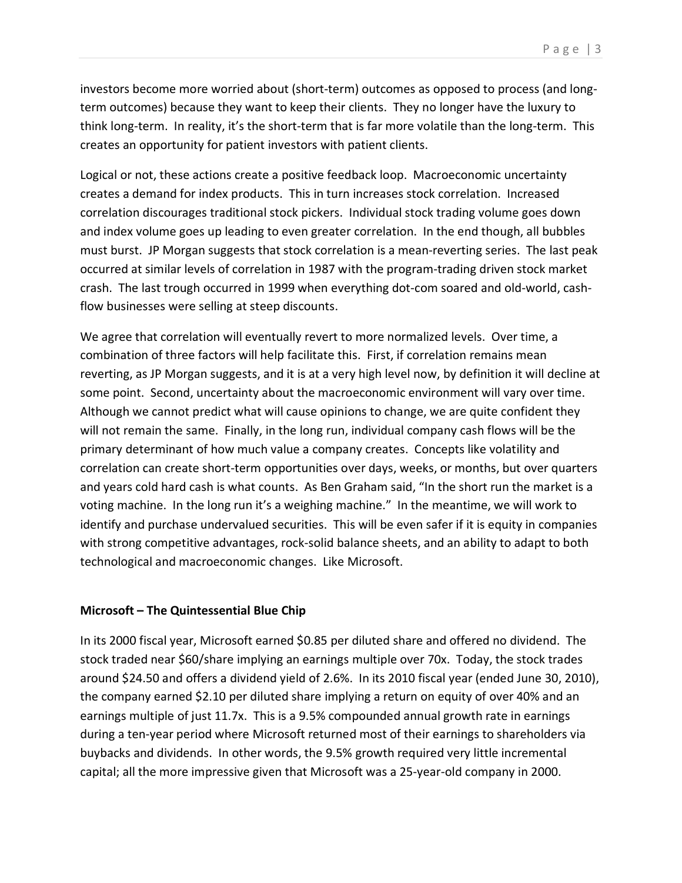investors become more worried about (short-term) outcomes as opposed to process (and longterm outcomes) because they want to keep their clients. They no longer have the luxury to think long-term. In reality, it's the short-term that is far more volatile than the long-term. This creates an opportunity for patient investors with patient clients.

Logical or not, these actions create a positive feedback loop. Macroeconomic uncertainty creates a demand for index products. This in turn increases stock correlation. Increased correlation discourages traditional stock pickers. Individual stock trading volume goes down and index volume goes up leading to even greater correlation. In the end though, all bubbles must burst. JP Morgan suggests that stock correlation is a mean-reverting series. The last peak occurred at similar levels of correlation in 1987 with the program-trading driven stock market crash. The last trough occurred in 1999 when everything dot-com soared and old-world, cashflow businesses were selling at steep discounts.

We agree that correlation will eventually revert to more normalized levels. Over time, a combination of three factors will help facilitate this. First, if correlation remains mean reverting, as JP Morgan suggests, and it is at a very high level now, by definition it will decline at some point. Second, uncertainty about the macroeconomic environment will vary over time. Although we cannot predict what will cause opinions to change, we are quite confident they will not remain the same. Finally, in the long run, individual company cash flows will be the primary determinant of how much value a company creates. Concepts like volatility and correlation can create short-term opportunities over days, weeks, or months, but over quarters and years cold hard cash is what counts. As Ben Graham said, "In the short run the market is a voting machine. In the long run it's a weighing machine." In the meantime, we will work to identify and purchase undervalued securities. This will be even safer if it is equity in companies with strong competitive advantages, rock-solid balance sheets, and an ability to adapt to both technological and macroeconomic changes. Like Microsoft.

## **Microsoft – The Quintessential Blue Chip**

In its 2000 fiscal year, Microsoft earned \$0.85 per diluted share and offered no dividend. The stock traded near \$60/share implying an earnings multiple over 70x. Today, the stock trades around \$24.50 and offers a dividend yield of 2.6%. In its 2010 fiscal year (ended June 30, 2010), the company earned \$2.10 per diluted share implying a return on equity of over 40% and an earnings multiple of just 11.7x. This is a 9.5% compounded annual growth rate in earnings during a ten-year period where Microsoft returned most of their earnings to shareholders via buybacks and dividends. In other words, the 9.5% growth required very little incremental capital; all the more impressive given that Microsoft was a 25-year-old company in 2000.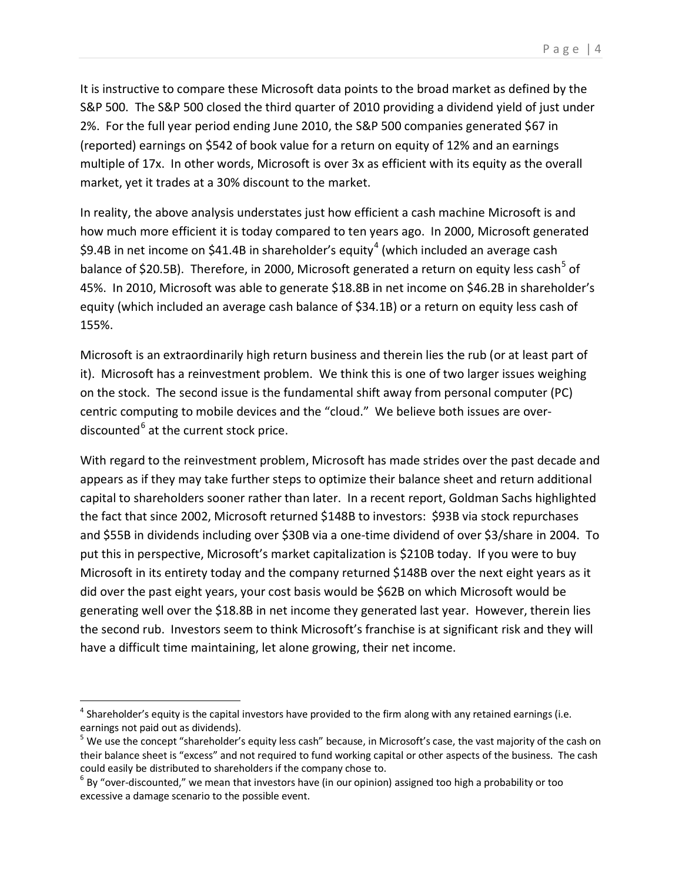It is instructive to compare these Microsoft data points to the broad market as defined by the S&P 500. The S&P 500 closed the third quarter of 2010 providing a dividend yield of just under 2%. For the full year period ending June 2010, the S&P 500 companies generated \$67 in (reported) earnings on \$542 of book value for a return on equity of 12% and an earnings multiple of 17x. In other words, Microsoft is over 3x as efficient with its equity as the overall market, yet it trades at a 30% discount to the market.

In reality, the above analysis understates just how efficient a cash machine Microsoft is and how much more efficient it is today compared to ten years ago. In 2000, Microsoft generated \$9.[4](#page-3-0)B in net income on \$41.4B in shareholder's equity<sup>4</sup> (which included an average cash balance of \$20.[5](#page-3-1)B). Therefore, in 2000, Microsoft generated a return on equity less cash<sup>5</sup> of 45%. In 2010, Microsoft was able to generate \$18.8B in net income on \$46.2B in shareholder's equity (which included an average cash balance of \$34.1B) or a return on equity less cash of 155%.

Microsoft is an extraordinarily high return business and therein lies the rub (or at least part of it). Microsoft has a reinvestment problem. We think this is one of two larger issues weighing on the stock. The second issue is the fundamental shift away from personal computer (PC) centric computing to mobile devices and the "cloud." We believe both issues are over-discounted<sup>[6](#page-3-2)</sup> at the current stock price.

With regard to the reinvestment problem, Microsoft has made strides over the past decade and appears as if they may take further steps to optimize their balance sheet and return additional capital to shareholders sooner rather than later. In a recent report, Goldman Sachs highlighted the fact that since 2002, Microsoft returned \$148B to investors: \$93B via stock repurchases and \$55B in dividends including over \$30B via a one-time dividend of over \$3/share in 2004. To put this in perspective, Microsoft's market capitalization is \$210B today. If you were to buy Microsoft in its entirety today and the company returned \$148B over the next eight years as it did over the past eight years, your cost basis would be \$62B on which Microsoft would be generating well over the \$18.8B in net income they generated last year. However, therein lies the second rub. Investors seem to think Microsoft's franchise is at significant risk and they will have a difficult time maintaining, let alone growing, their net income.

<span id="page-3-0"></span> $<sup>4</sup>$  Shareholder's equity is the capital investors have provided to the firm along with any retained earnings (i.e.</sup> earnings not paid out as dividends).

<span id="page-3-1"></span><sup>&</sup>lt;sup>5</sup> We use the concept "shareholder's equity less cash" because, in Microsoft's case, the vast majority of the cash on their balance sheet is "excess" and not required to fund working capital or other aspects of the business. The cash could easily be distributed to shareholders if the company chose to.

<span id="page-3-2"></span> $^6$  By "over-discounted," we mean that investors have (in our opinion) assigned too high a probability or too excessive a damage scenario to the possible event.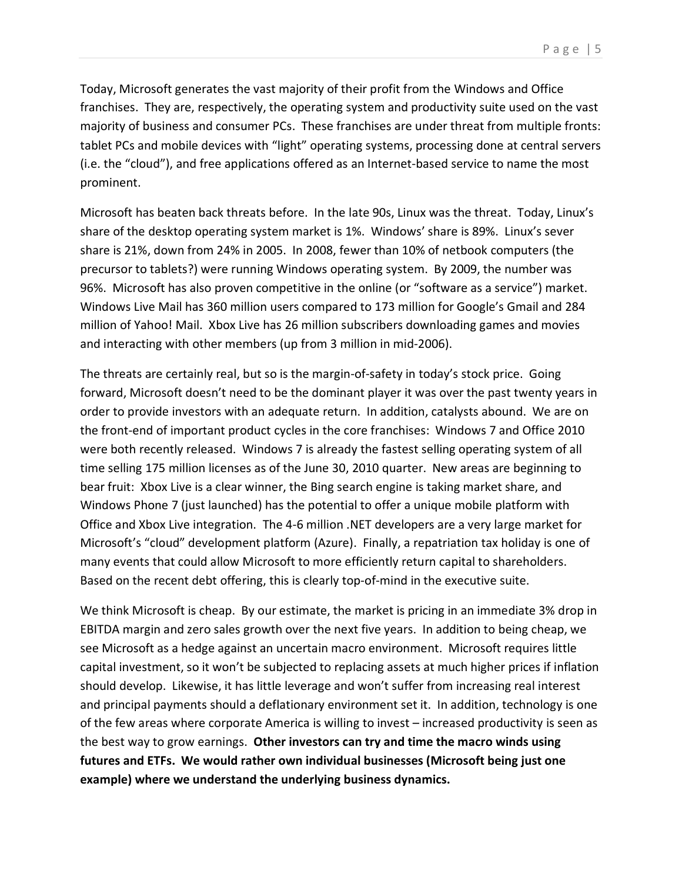Today, Microsoft generates the vast majority of their profit from the Windows and Office franchises. They are, respectively, the operating system and productivity suite used on the vast majority of business and consumer PCs. These franchises are under threat from multiple fronts: tablet PCs and mobile devices with "light" operating systems, processing done at central servers (i.e. the "cloud"), and free applications offered as an Internet-based service to name the most prominent.

Microsoft has beaten back threats before. In the late 90s, Linux was the threat. Today, Linux's share of the desktop operating system market is 1%. Windows' share is 89%. Linux's sever share is 21%, down from 24% in 2005. In 2008, fewer than 10% of netbook computers (the precursor to tablets?) were running Windows operating system. By 2009, the number was 96%. Microsoft has also proven competitive in the online (or "software as a service") market. Windows Live Mail has 360 million users compared to 173 million for Google's Gmail and 284 million of Yahoo! Mail. Xbox Live has 26 million subscribers downloading games and movies and interacting with other members (up from 3 million in mid-2006).

The threats are certainly real, but so is the margin-of-safety in today's stock price. Going forward, Microsoft doesn't need to be the dominant player it was over the past twenty years in order to provide investors with an adequate return. In addition, catalysts abound. We are on the front-end of important product cycles in the core franchises: Windows 7 and Office 2010 were both recently released. Windows 7 is already the fastest selling operating system of all time selling 175 million licenses as of the June 30, 2010 quarter. New areas are beginning to bear fruit: Xbox Live is a clear winner, the Bing search engine is taking market share, and Windows Phone 7 (just launched) has the potential to offer a unique mobile platform with Office and Xbox Live integration. The 4-6 million .NET developers are a very large market for Microsoft's "cloud" development platform (Azure). Finally, a repatriation tax holiday is one of many events that could allow Microsoft to more efficiently return capital to shareholders. Based on the recent debt offering, this is clearly top-of-mind in the executive suite.

We think Microsoft is cheap. By our estimate, the market is pricing in an immediate 3% drop in EBITDA margin and zero sales growth over the next five years. In addition to being cheap, we see Microsoft as a hedge against an uncertain macro environment. Microsoft requires little capital investment, so it won't be subjected to replacing assets at much higher prices if inflation should develop. Likewise, it has little leverage and won't suffer from increasing real interest and principal payments should a deflationary environment set it. In addition, technology is one of the few areas where corporate America is willing to invest – increased productivity is seen as the best way to grow earnings. **Other investors can try and time the macro winds using futures and ETFs. We would rather own individual businesses (Microsoft being just one example) where we understand the underlying business dynamics.**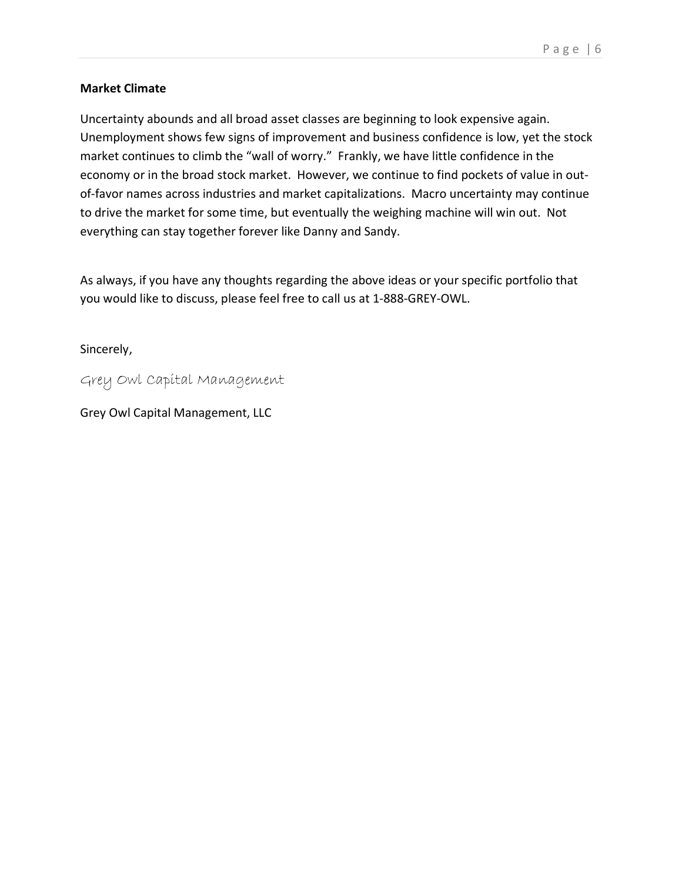## **Market Climate**

Uncertainty abounds and all broad asset classes are beginning to look expensive again. Unemployment shows few signs of improvement and business confidence is low, yet the stock market continues to climb the "wall of worry." Frankly, we have little confidence in the economy or in the broad stock market. However, we continue to find pockets of value in outof-favor names across industries and market capitalizations. Macro uncertainty may continue to drive the market for some time, but eventually the weighing machine will win out. Not everything can stay together forever like Danny and Sandy.

As always, if you have any thoughts regarding the above ideas or your specific portfolio that you would like to discuss, please feel free to call us at 1-888-GREY-OWL.

Sincerely,

Grey Owl Capital Management

Grey Owl Capital Management, LLC